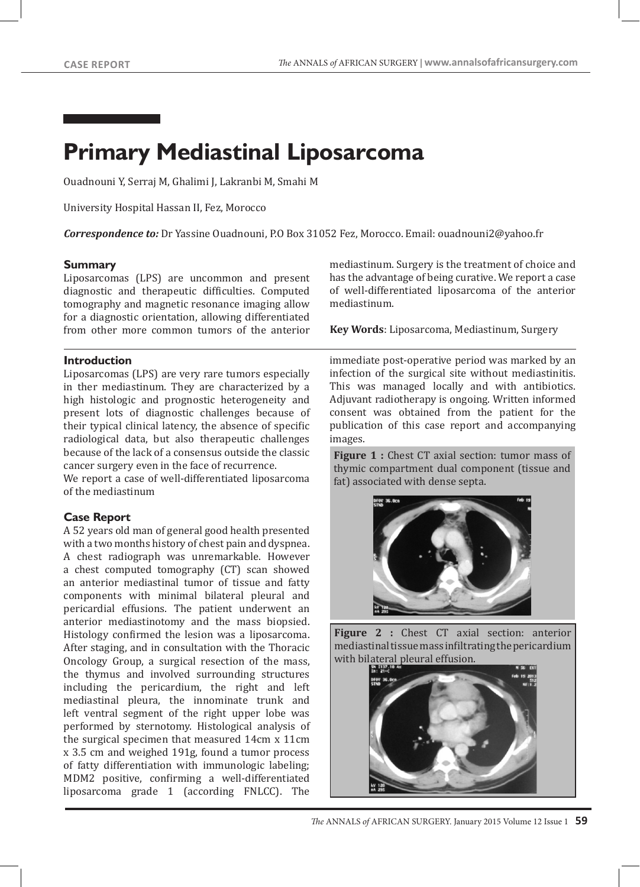# **Primary Mediastinal Liposarcoma**

Ouadnouni Y, Serraj M, Ghalimi J, Lakranbi M, Smahi M

University Hospital Hassan II, Fez, Morocco

*Correspondence to:* Dr Yassine Ouadnouni, P.O Box 31052 Fez, Morocco. Email: ouadnouni2@yahoo.fr

#### **Summary**

Liposarcomas (LPS) are uncommon and present diagnostic and therapeutic difficulties. Computed tomography and magnetic resonance imaging allow for a diagnostic orientation, allowing differentiated from other more common tumors of the anterior

#### **Introduction**

Liposarcomas (LPS) are very rare tumors especially in ther mediastinum. They are characterized by a high histologic and prognostic heterogeneity and present lots of diagnostic challenges because of their typical clinical latency, the absence of specific radiological data, but also therapeutic challenges because of the lack of a consensus outside the classic cancer surgery even in the face of recurrence.

We report a case of well-differentiated liposarcoma of the mediastinum

## **Case Report**

A 52 years old man of general good health presented with a two months history of chest pain and dyspnea. A chest radiograph was unremarkable. However a chest computed tomography (CT) scan showed an anterior mediastinal tumor of tissue and fatty components with minimal bilateral pleural and pericardial effusions. The patient underwent an anterior mediastinotomy and the mass biopsied. Histology confirmed the lesion was a liposarcoma. After staging, and in consultation with the Thoracic Oncology Group, a surgical resection of the mass, the thymus and involved surrounding structures including the pericardium, the right and left mediastinal pleura, the innominate trunk and left ventral segment of the right upper lobe was performed by sternotomy. Histological analysis of the surgical specimen that measured 14cm x 11cm x 3.5 cm and weighed 191g, found a tumor process of fatty differentiation with immunologic labeling; MDM2 positive, confirming a well-differentiated liposarcoma grade 1 (according FNLCC). The

mediastinum. Surgery is the treatment of choice and has the advantage of being curative. We report a case of well-differentiated liposarcoma of the anterior mediastinum.

**Key Words**: Liposarcoma, Mediastinum, Surgery

immediate post-operative period was marked by an infection of the surgical site without mediastinitis. This was managed locally and with antibiotics. Adjuvant radiotherapy is ongoing. Written informed consent was obtained from the patient for the publication of this case report and accompanying images.

**Figure 1 :** Chest CT axial section: tumor mass of thymic compartment dual component (tissue and fat) associated with dense septa.



**Figure 2 :** Chest CT axial section: anterior mediastinal tissue mass infiltrating the pericardium with bilateral pleural effusion.

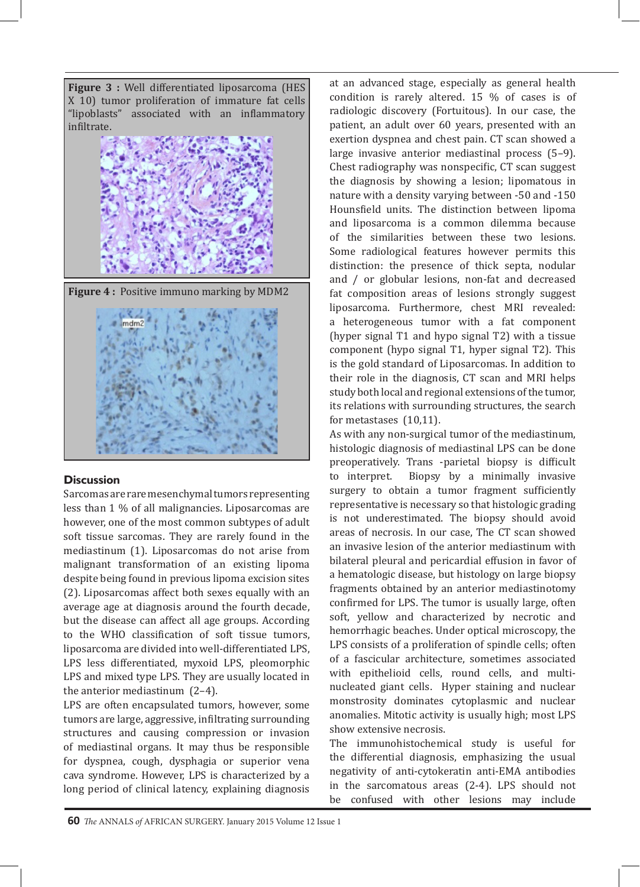**Figure 3 :** Well differentiated liposarcoma (HES X 10) tumor proliferation of immature fat cells "lipoblasts" associated with an inflammatory infiltrate.



## **Discussion**

Sarcomas are rare mesenchymal tumors representing less than 1 % of all malignancies. Liposarcomas are however, one of the most common subtypes of adult soft tissue sarcomas. They are rarely found in the mediastinum (1). Liposarcomas do not arise from malignant transformation of an existing lipoma despite being found in previous lipoma excision sites (2). Liposarcomas affect both sexes equally with an average age at diagnosis around the fourth decade, but the disease can affect all age groups. According to the WHO classification of soft tissue tumors, liposarcoma are divided into well-differentiated LPS, LPS less differentiated, myxoid LPS, pleomorphic LPS and mixed type LPS. They are usually located in the anterior mediastinum (2–4).

LPS are often encapsulated tumors, however, some tumors are large, aggressive, infiltrating surrounding structures and causing compression or invasion of mediastinal organs. It may thus be responsible for dyspnea, cough, dysphagia or superior vena cava syndrome. However, LPS is characterized by a long period of clinical latency, explaining diagnosis

at an advanced stage, especially as general health condition is rarely altered. 15 % of cases is of radiologic discovery (Fortuitous). In our case, the patient, an adult over 60 years, presented with an exertion dyspnea and chest pain. CT scan showed a large invasive anterior mediastinal process (5–9). Chest radiography was nonspecific, CT scan suggest the diagnosis by showing a lesion; lipomatous in nature with a density varying between -50 and -150 Hounsfield units. The distinction between lipoma and liposarcoma is a common dilemma because of the similarities between these two lesions. Some radiological features however permits this distinction: the presence of thick septa, nodular and / or globular lesions, non-fat and decreased fat composition areas of lesions strongly suggest liposarcoma. Furthermore, chest MRI revealed: a heterogeneous tumor with a fat component (hyper signal T1 and hypo signal T2) with a tissue component (hypo signal T1, hyper signal T2). This is the gold standard of Liposarcomas. In addition to their role in the diagnosis, CT scan and MRI helps study both local and regional extensions of the tumor, its relations with surrounding structures, the search for metastases (10,11).

As with any non-surgical tumor of the mediastinum, histologic diagnosis of mediastinal LPS can be done preoperatively. Trans -parietal biopsy is difficult to interpret. Biopsy by a minimally invasive surgery to obtain a tumor fragment sufficiently representative is necessary so that histologic grading is not underestimated. The biopsy should avoid areas of necrosis. In our case, The CT scan showed an invasive lesion of the anterior mediastinum with bilateral pleural and pericardial effusion in favor of a hematologic disease, but histology on large biopsy fragments obtained by an anterior mediastinotomy confirmed for LPS. The tumor is usually large, often soft, yellow and characterized by necrotic and hemorrhagic beaches. Under optical microscopy, the LPS consists of a proliferation of spindle cells; often of a fascicular architecture, sometimes associated with epithelioid cells, round cells, and multinucleated giant cells. Hyper staining and nuclear monstrosity dominates cytoplasmic and nuclear anomalies. Mitotic activity is usually high; most LPS show extensive necrosis.

The immunohistochemical study is useful for the differential diagnosis, emphasizing the usual negativity of anti-cytokeratin anti-EMA antibodies in the sarcomatous areas (2-4). LPS should not be confused with other lesions may include